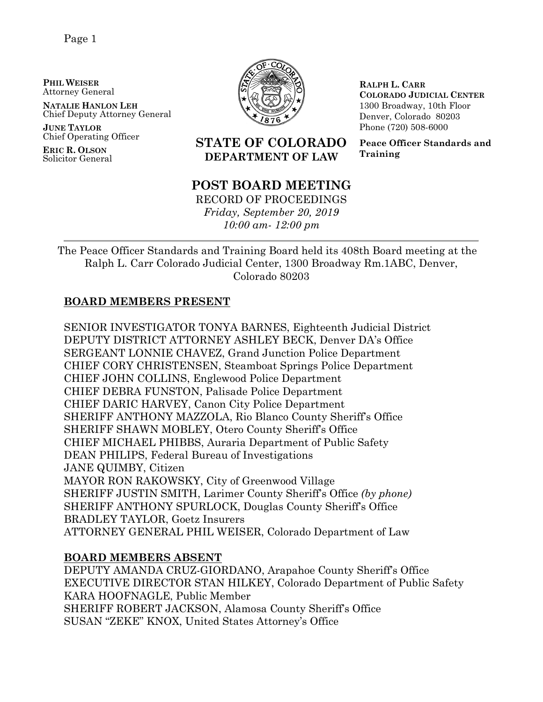**PHIL WEISER** Attorney General

**NATALIE HANLON LEH** Chief Deputy Attorney General

**JUNE TAYLOR** Chief Operating Officer

**ERIC R. OLSON** Solicitor General



**RALPH L. CARR COLORADO JUDICIAL CENTER** 1300 Broadway, 10th Floor Denver, Colorado 80203 Phone (720) 508-6000

**Peace Officer Standards and Training**

## **STATE OF COLORADO DEPARTMENT OF LAW**

## **POST BOARD MEETING**

RECORD OF PROCEEDINGS *Friday, September 20, 2019 10:00 am- 12:00 pm*

The Peace Officer Standards and Training Board held its 408th Board meeting at the Ralph L. Carr Colorado Judicial Center, 1300 Broadway Rm.1ABC, Denver, Colorado 80203

### **BOARD MEMBERS PRESENT**

SENIOR INVESTIGATOR TONYA BARNES, Eighteenth Judicial District DEPUTY DISTRICT ATTORNEY ASHLEY BECK, Denver DA's Office SERGEANT LONNIE CHAVEZ, Grand Junction Police Department CHIEF CORY CHRISTENSEN, Steamboat Springs Police Department CHIEF JOHN COLLINS, Englewood Police Department CHIEF DEBRA FUNSTON, Palisade Police Department CHIEF DARIC HARVEY, Canon City Police Department SHERIFF ANTHONY MAZZOLA, Rio Blanco County Sheriff's Office SHERIFF SHAWN MOBLEY, Otero County Sheriff's Office CHIEF MICHAEL PHIBBS, Auraria Department of Public Safety DEAN PHILIPS, Federal Bureau of Investigations JANE QUIMBY, Citizen MAYOR RON RAKOWSKY, City of Greenwood Village SHERIFF JUSTIN SMITH, Larimer County Sheriff's Office *(by phone)* SHERIFF ANTHONY SPURLOCK, Douglas County Sheriff's Office BRADLEY TAYLOR, Goetz Insurers ATTORNEY GENERAL PHIL WEISER, Colorado Department of Law

## **BOARD MEMBERS ABSENT**

DEPUTY AMANDA CRUZ-GIORDANO, Arapahoe County Sheriff's Office EXECUTIVE DIRECTOR STAN HILKEY, Colorado Department of Public Safety KARA HOOFNAGLE, Public Member SHERIFF ROBERT JACKSON, Alamosa County Sheriff's Office SUSAN "ZEKE" KNOX, United States Attorney's Office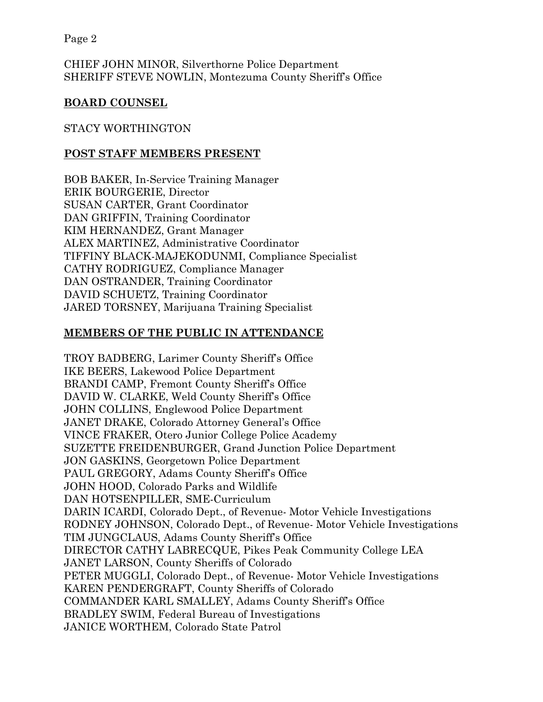CHIEF JOHN MINOR, Silverthorne Police Department SHERIFF STEVE NOWLIN, Montezuma County Sheriff's Office

#### **BOARD COUNSEL**

#### STACY WORTHINGTON

#### **POST STAFF MEMBERS PRESENT**

BOB BAKER, In-Service Training Manager ERIK BOURGERIE, Director SUSAN CARTER, Grant Coordinator DAN GRIFFIN, Training Coordinator KIM HERNANDEZ, Grant Manager ALEX MARTINEZ, Administrative Coordinator TIFFINY BLACK-MAJEKODUNMI, Compliance Specialist CATHY RODRIGUEZ, Compliance Manager DAN OSTRANDER, Training Coordinator DAVID SCHUETZ, Training Coordinator JARED TORSNEY, Marijuana Training Specialist

#### **MEMBERS OF THE PUBLIC IN ATTENDANCE**

TROY BADBERG, Larimer County Sheriff's Office IKE BEERS, Lakewood Police Department BRANDI CAMP, Fremont County Sheriff's Office DAVID W. CLARKE, Weld County Sheriff's Office JOHN COLLINS, Englewood Police Department JANET DRAKE, Colorado Attorney General's Office VINCE FRAKER, Otero Junior College Police Academy SUZETTE FREIDENBURGER, Grand Junction Police Department JON GASKINS, Georgetown Police Department PAUL GREGORY, Adams County Sheriff's Office JOHN HOOD, Colorado Parks and Wildlife DAN HOTSENPILLER, SME-Curriculum DARIN ICARDI, Colorado Dept., of Revenue- Motor Vehicle Investigations RODNEY JOHNSON, Colorado Dept., of Revenue- Motor Vehicle Investigations TIM JUNGCLAUS, Adams County Sheriff's Office DIRECTOR CATHY LABRECQUE, Pikes Peak Community College LEA JANET LARSON, County Sheriffs of Colorado PETER MUGGLI, Colorado Dept., of Revenue- Motor Vehicle Investigations KAREN PENDERGRAFT, County Sheriffs of Colorado COMMANDER KARL SMALLEY, Adams County Sheriff's Office BRADLEY SWIM, Federal Bureau of Investigations JANICE WORTHEM, Colorado State Patrol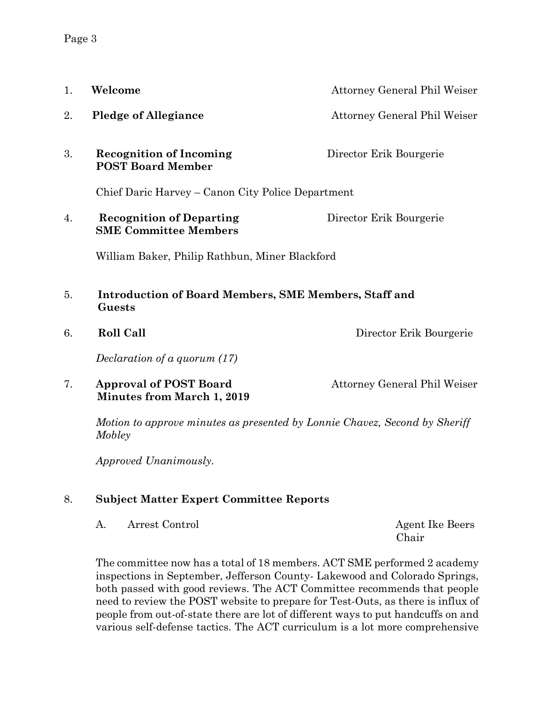| 1. | Welcome                                                                | Attorney General Phil Weiser                                               |  |
|----|------------------------------------------------------------------------|----------------------------------------------------------------------------|--|
| 2. | <b>Pledge of Allegiance</b>                                            | Attorney General Phil Weiser                                               |  |
| 3. | <b>Recognition of Incoming</b><br><b>POST Board Member</b>             | Director Erik Bourgerie                                                    |  |
|    | Chief Daric Harvey – Canon City Police Department                      |                                                                            |  |
| 4. | <b>Recognition of Departing</b><br><b>SME Committee Members</b>        | Director Erik Bourgerie                                                    |  |
|    | William Baker, Philip Rathbun, Miner Blackford                         |                                                                            |  |
| 5. | <b>Introduction of Board Members, SME Members, Staff and</b><br>Guests |                                                                            |  |
| 6. | <b>Roll Call</b>                                                       | Director Erik Bourgerie                                                    |  |
|    | Declaration of a quorum (17)                                           |                                                                            |  |
| 7. | <b>Approval of POST Board</b><br><b>Minutes from March 1, 2019</b>     | Attorney General Phil Weiser                                               |  |
|    | Mobley                                                                 | Motion to approve minutes as presented by Lonnie Chavez, Second by Sheriff |  |
|    | Approved Unanimously.                                                  |                                                                            |  |
| 8. | <b>Subject Matter Expert Committee Reports</b>                         |                                                                            |  |

A. Arrest Control **Agent Ike Beers** 

Chair

The committee now has a total of 18 members. ACT SME performed 2 academy inspections in September, Jefferson County- Lakewood and Colorado Springs, both passed with good reviews. The ACT Committee recommends that people need to review the POST website to prepare for Test-Outs, as there is influx of people from out-of-state there are lot of different ways to put handcuffs on and various self-defense tactics. The ACT curriculum is a lot more comprehensive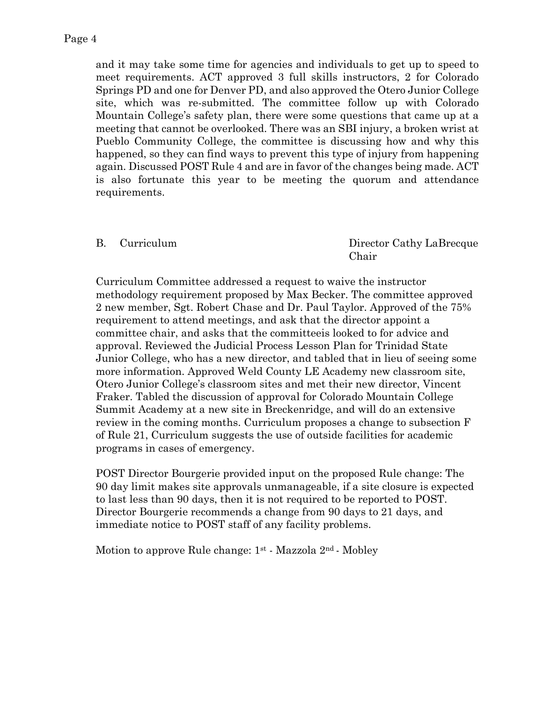and it may take some time for agencies and individuals to get up to speed to meet requirements. ACT approved 3 full skills instructors, 2 for Colorado Springs PD and one for Denver PD, and also approved the Otero Junior College site, which was re-submitted. The committee follow up with Colorado Mountain College's safety plan, there were some questions that came up at a meeting that cannot be overlooked. There was an SBI injury, a broken wrist at Pueblo Community College, the committee is discussing how and why this happened, so they can find ways to prevent this type of injury from happening again. Discussed POST Rule 4 and are in favor of the changes being made. ACT is also fortunate this year to be meeting the quorum and attendance requirements.

#### B. Curriculum Director Cathy LaBrecque Chair

Curriculum Committee addressed a request to waive the instructor methodology requirement proposed by Max Becker. The committee approved 2 new member, Sgt. Robert Chase and Dr. Paul Taylor. Approved of the 75% requirement to attend meetings, and ask that the director appoint a committee chair, and asks that the committeeis looked to for advice and approval. Reviewed the Judicial Process Lesson Plan for Trinidad State Junior College, who has a new director, and tabled that in lieu of seeing some more information. Approved Weld County LE Academy new classroom site, Otero Junior College's classroom sites and met their new director, Vincent Fraker. Tabled the discussion of approval for Colorado Mountain College Summit Academy at a new site in Breckenridge, and will do an extensive review in the coming months. Curriculum proposes a change to subsection F of Rule 21, Curriculum suggests the use of outside facilities for academic programs in cases of emergency.

POST Director Bourgerie provided input on the proposed Rule change: The 90 day limit makes site approvals unmanageable, if a site closure is expected to last less than 90 days, then it is not required to be reported to POST. Director Bourgerie recommends a change from 90 days to 21 days, and immediate notice to POST staff of any facility problems.

Motion to approve Rule change:  $1<sup>st</sup>$  - Mazzola  $2<sup>nd</sup>$  - Mobley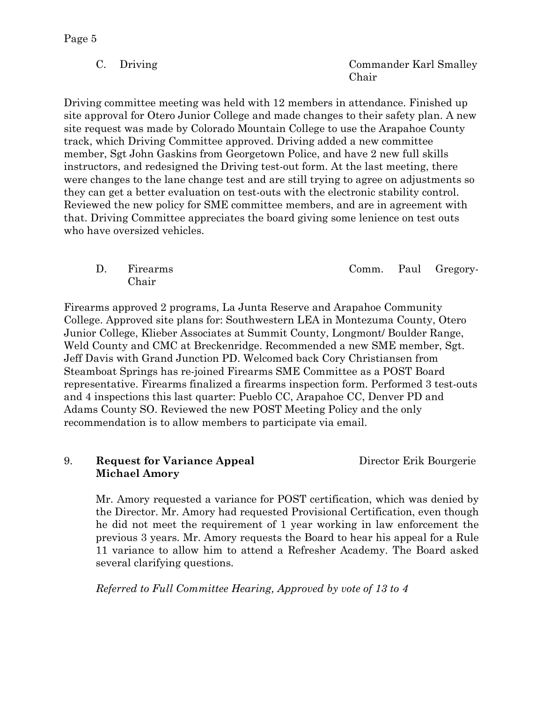C. Driving Commander Karl Smalley Chair

Driving committee meeting was held with 12 members in attendance. Finished up site approval for Otero Junior College and made changes to their safety plan. A new site request was made by Colorado Mountain College to use the Arapahoe County track, which Driving Committee approved. Driving added a new committee member, Sgt John Gaskins from Georgetown Police, and have 2 new full skills instructors, and redesigned the Driving test-out form. At the last meeting, there were changes to the lane change test and are still trying to agree on adjustments so they can get a better evaluation on test-outs with the electronic stability control. Reviewed the new policy for SME committee members, and are in agreement with that. Driving Committee appreciates the board giving some lenience on test outs who have oversized vehicles.

D. Firearms Comm. Paul Gregory-Chair

Firearms approved 2 programs, La Junta Reserve and Arapahoe Community College. Approved site plans for: Southwestern LEA in Montezuma County, Otero Junior College, Klieber Associates at Summit County, Longmont/ Boulder Range, Weld County and CMC at Breckenridge. Recommended a new SME member, Sgt. Jeff Davis with Grand Junction PD. Welcomed back Cory Christiansen from Steamboat Springs has re-joined Firearms SME Committee as a POST Board representative. Firearms finalized a firearms inspection form. Performed 3 test-outs and 4 inspections this last quarter: Pueblo CC, Arapahoe CC, Denver PD and Adams County SO. Reviewed the new POST Meeting Policy and the only recommendation is to allow members to participate via email.

#### 9. **Request for Variance Appeal** Director Erik Bourgerie **Michael Amory**

Mr. Amory requested a variance for POST certification, which was denied by the Director. Mr. Amory had requested Provisional Certification, even though he did not meet the requirement of 1 year working in law enforcement the previous 3 years. Mr. Amory requests the Board to hear his appeal for a Rule 11 variance to allow him to attend a Refresher Academy. The Board asked several clarifying questions.

*Referred to Full Committee Hearing, Approved by vote of 13 to 4*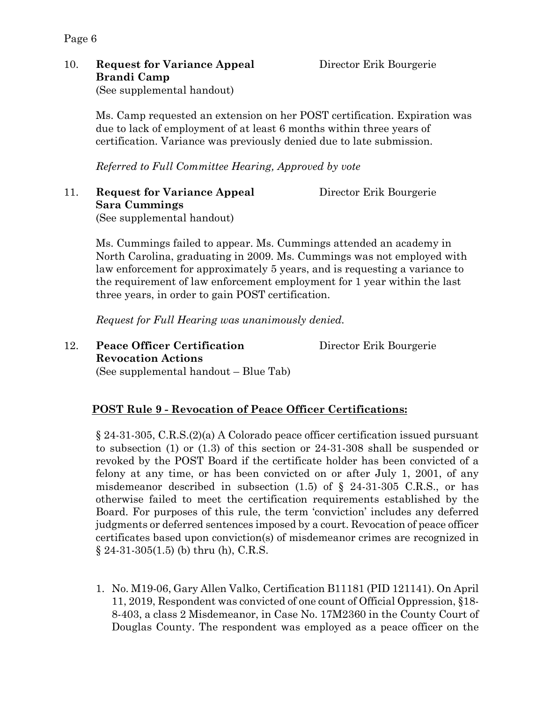## 10. **Request for Variance Appeal** Director Erik Bourgerie **Brandi Camp**

Page 6

(See supplemental handout)

Ms. Camp requested an extension on her POST certification. Expiration was due to lack of employment of at least 6 months within three years of certification. Variance was previously denied due to late submission.

*Referred to Full Committee Hearing, Approved by vote*

11. **Request for Variance Appeal** Director Erik Bourgerie **Sara Cummings**

(See supplemental handout)

Ms. Cummings failed to appear. Ms. Cummings attended an academy in North Carolina, graduating in 2009. Ms. Cummings was not employed with law enforcement for approximately 5 years, and is requesting a variance to the requirement of law enforcement employment for 1 year within the last three years, in order to gain POST certification.

*Request for Full Hearing was unanimously denied.* 

12. **Peace Officer Certification** Director Erik Bourgerie **Revocation Actions**  (See supplemental handout – Blue Tab)

#### **POST Rule 9 - Revocation of Peace Officer Certifications:**

§ 24-31-305, C.R.S.(2)(a) A Colorado peace officer certification issued pursuant to subsection (1) or (1.3) of this section or 24-31-308 shall be suspended or revoked by the POST Board if the certificate holder has been convicted of a felony at any time, or has been convicted on or after July 1, 2001, of any misdemeanor described in subsection  $(1.5)$  of § 24-31-305 C.R.S., or has otherwise failed to meet the certification requirements established by the Board. For purposes of this rule, the term 'conviction' includes any deferred judgments or deferred sentences imposed by a court. Revocation of peace officer certificates based upon conviction(s) of misdemeanor crimes are recognized in  $§ 24-31-305(1.5)$  (b) thru (h), C.R.S.

1. No. M19-06, Gary Allen Valko, Certification B11181 (PID 121141). On April 11, 2019, Respondent was convicted of one count of Official Oppression, §18- 8-403, a class 2 Misdemeanor, in Case No. 17M2360 in the County Court of Douglas County. The respondent was employed as a peace officer on the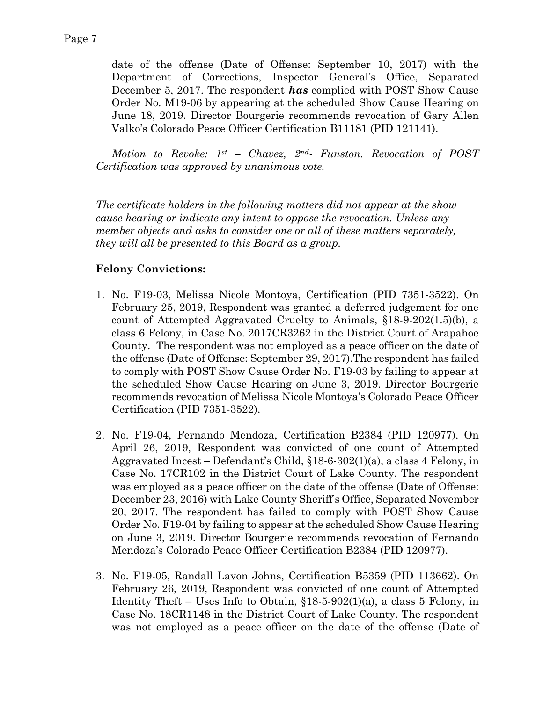date of the offense (Date of Offense: September 10, 2017) with the Department of Corrections, Inspector General's Office, Separated December 5, 2017. The respondent *has* complied with POST Show Cause Order No. M19-06 by appearing at the scheduled Show Cause Hearing on June 18, 2019. Director Bourgerie recommends revocation of Gary Allen Valko's Colorado Peace Officer Certification B11181 (PID 121141).

*Motion to Revoke: 1st – Chavez, 2nd- Funston. Revocation of POST Certification was approved by unanimous vote.* 

*The certificate holders in the following matters did not appear at the show cause hearing or indicate any intent to oppose the revocation. Unless any member objects and asks to consider one or all of these matters separately, they will all be presented to this Board as a group.*

### **Felony Convictions:**

- 1. No. F19-03, Melissa Nicole Montoya, Certification (PID 7351-3522). On February 25, 2019, Respondent was granted a deferred judgement for one count of Attempted Aggravated Cruelty to Animals, §18-9-202(1.5)(b), a class 6 Felony, in Case No. 2017CR3262 in the District Court of Arapahoe County. The respondent was not employed as a peace officer on the date of the offense (Date of Offense: September 29, 2017).The respondent has failed to comply with POST Show Cause Order No. F19-03 by failing to appear at the scheduled Show Cause Hearing on June 3, 2019. Director Bourgerie recommends revocation of Melissa Nicole Montoya's Colorado Peace Officer Certification (PID 7351-3522).
- 2. No. F19-04, Fernando Mendoza, Certification B2384 (PID 120977). On April 26, 2019, Respondent was convicted of one count of Attempted Aggravated Incest – Defendant's Child, §18-6-302(1)(a), a class 4 Felony, in Case No. 17CR102 in the District Court of Lake County. The respondent was employed as a peace officer on the date of the offense (Date of Offense: December 23, 2016) with Lake County Sheriff's Office, Separated November 20, 2017. The respondent has failed to comply with POST Show Cause Order No. F19-04 by failing to appear at the scheduled Show Cause Hearing on June 3, 2019. Director Bourgerie recommends revocation of Fernando Mendoza's Colorado Peace Officer Certification B2384 (PID 120977).
- 3. No. F19-05, Randall Lavon Johns, Certification B5359 (PID 113662). On February 26, 2019, Respondent was convicted of one count of Attempted Identity Theft – Uses Info to Obtain,  $$18-5-902(1)(a)$ , a class 5 Felony, in Case No. 18CR1148 in the District Court of Lake County. The respondent was not employed as a peace officer on the date of the offense (Date of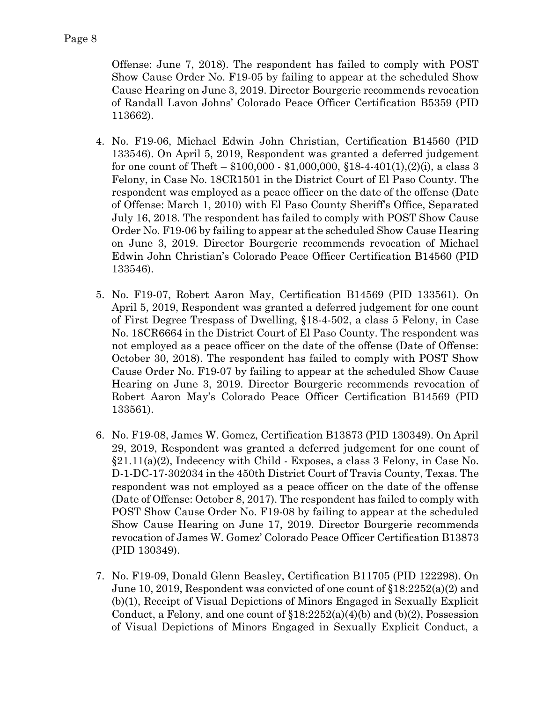Offense: June 7, 2018). The respondent has failed to comply with POST Show Cause Order No. F19-05 by failing to appear at the scheduled Show Cause Hearing on June 3, 2019. Director Bourgerie recommends revocation of Randall Lavon Johns' Colorado Peace Officer Certification B5359 (PID 113662).

- 4. No. F19-06, Michael Edwin John Christian, Certification B14560 (PID 133546). On April 5, 2019, Respondent was granted a deferred judgement for one count of Theft –  $$100,000 - $1,000,000, $18-4.401(1), (2)(i)$ , a class 3 Felony, in Case No. 18CR1501 in the District Court of El Paso County. The respondent was employed as a peace officer on the date of the offense (Date of Offense: March 1, 2010) with El Paso County Sheriff's Office, Separated July 16, 2018. The respondent has failed to comply with POST Show Cause Order No. F19-06 by failing to appear at the scheduled Show Cause Hearing on June 3, 2019. Director Bourgerie recommends revocation of Michael Edwin John Christian's Colorado Peace Officer Certification B14560 (PID 133546).
- 5. No. F19-07, Robert Aaron May, Certification B14569 (PID 133561). On April 5, 2019, Respondent was granted a deferred judgement for one count of First Degree Trespass of Dwelling, §18-4-502, a class 5 Felony, in Case No. 18CR6664 in the District Court of El Paso County. The respondent was not employed as a peace officer on the date of the offense (Date of Offense: October 30, 2018). The respondent has failed to comply with POST Show Cause Order No. F19-07 by failing to appear at the scheduled Show Cause Hearing on June 3, 2019. Director Bourgerie recommends revocation of Robert Aaron May's Colorado Peace Officer Certification B14569 (PID 133561).
- 6. No. F19-08, James W. Gomez, Certification B13873 (PID 130349). On April 29, 2019, Respondent was granted a deferred judgement for one count of §21.11(a)(2), Indecency with Child - Exposes, a class 3 Felony, in Case No. D-1-DC-17-302034 in the 450th District Court of Travis County, Texas. The respondent was not employed as a peace officer on the date of the offense (Date of Offense: October 8, 2017). The respondent has failed to comply with POST Show Cause Order No. F19-08 by failing to appear at the scheduled Show Cause Hearing on June 17, 2019. Director Bourgerie recommends revocation of James W. Gomez' Colorado Peace Officer Certification B13873 (PID 130349).
- 7. No. F19-09, Donald Glenn Beasley, Certification B11705 (PID 122298). On June 10, 2019, Respondent was convicted of one count of §18:2252(a)(2) and (b)(1), Receipt of Visual Depictions of Minors Engaged in Sexually Explicit Conduct, a Felony, and one count of  $$18:2252(a)(4)(b)$  and  $(b)(2)$ , Possession of Visual Depictions of Minors Engaged in Sexually Explicit Conduct, a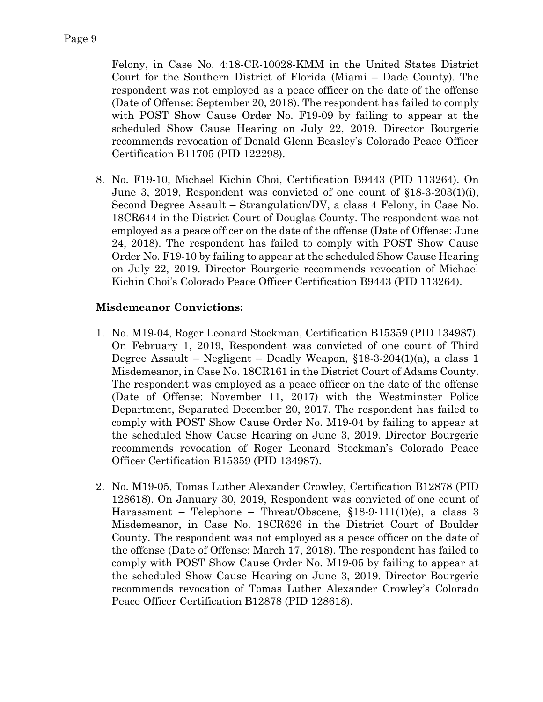Felony, in Case No. 4:18-CR-10028-KMM in the United States District Court for the Southern District of Florida (Miami – Dade County). The respondent was not employed as a peace officer on the date of the offense (Date of Offense: September 20, 2018). The respondent has failed to comply with POST Show Cause Order No. F19-09 by failing to appear at the scheduled Show Cause Hearing on July 22, 2019. Director Bourgerie recommends revocation of Donald Glenn Beasley's Colorado Peace Officer Certification B11705 (PID 122298).

8. No. F19-10, Michael Kichin Choi, Certification B9443 (PID 113264). On June 3, 2019, Respondent was convicted of one count of §18-3-203(1)(i), Second Degree Assault – Strangulation/DV, a class 4 Felony, in Case No. 18CR644 in the District Court of Douglas County. The respondent was not employed as a peace officer on the date of the offense (Date of Offense: June 24, 2018). The respondent has failed to comply with POST Show Cause Order No. F19-10 by failing to appear at the scheduled Show Cause Hearing on July 22, 2019. Director Bourgerie recommends revocation of Michael Kichin Choi's Colorado Peace Officer Certification B9443 (PID 113264).

#### **Misdemeanor Convictions:**

- 1. No. M19-04, Roger Leonard Stockman, Certification B15359 (PID 134987). On February 1, 2019, Respondent was convicted of one count of Third Degree Assault – Negligent – Deadly Weapon, §18-3-204(1)(a), a class 1 Misdemeanor, in Case No. 18CR161 in the District Court of Adams County. The respondent was employed as a peace officer on the date of the offense (Date of Offense: November 11, 2017) with the Westminster Police Department, Separated December 20, 2017. The respondent has failed to comply with POST Show Cause Order No. M19-04 by failing to appear at the scheduled Show Cause Hearing on June 3, 2019. Director Bourgerie recommends revocation of Roger Leonard Stockman's Colorado Peace Officer Certification B15359 (PID 134987).
- 2. No. M19-05, Tomas Luther Alexander Crowley, Certification B12878 (PID 128618). On January 30, 2019, Respondent was convicted of one count of Harassment – Telephone – Threat/Obscene, §18-9-111(1)(e), a class 3 Misdemeanor, in Case No. 18CR626 in the District Court of Boulder County. The respondent was not employed as a peace officer on the date of the offense (Date of Offense: March 17, 2018). The respondent has failed to comply with POST Show Cause Order No. M19-05 by failing to appear at the scheduled Show Cause Hearing on June 3, 2019. Director Bourgerie recommends revocation of Tomas Luther Alexander Crowley's Colorado Peace Officer Certification B12878 (PID 128618).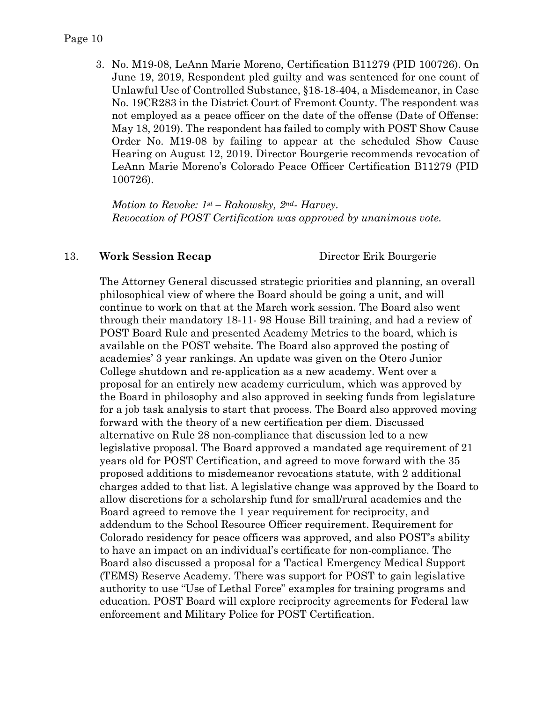3. No. M19-08, LeAnn Marie Moreno, Certification B11279 (PID 100726). On June 19, 2019, Respondent pled guilty and was sentenced for one count of Unlawful Use of Controlled Substance, §18-18-404, a Misdemeanor, in Case No. 19CR283 in the District Court of Fremont County. The respondent was not employed as a peace officer on the date of the offense (Date of Offense: May 18, 2019). The respondent has failed to comply with POST Show Cause Order No. M19-08 by failing to appear at the scheduled Show Cause Hearing on August 12, 2019. Director Bourgerie recommends revocation of LeAnn Marie Moreno's Colorado Peace Officer Certification B11279 (PID 100726).

*Motion to Revoke: 1st – Rakowsky, 2nd- Harvey. Revocation of POST Certification was approved by unanimous vote.* 

#### 13. **Work Session Recap** Director Erik Bourgerie

The Attorney General discussed strategic priorities and planning, an overall philosophical view of where the Board should be going a unit, and will continue to work on that at the March work session. The Board also went through their mandatory 18-11- 98 House Bill training, and had a review of POST Board Rule and presented Academy Metrics to the board, which is available on the POST website. The Board also approved the posting of academies' 3 year rankings. An update was given on the Otero Junior College shutdown and re-application as a new academy. Went over a proposal for an entirely new academy curriculum, which was approved by the Board in philosophy and also approved in seeking funds from legislature for a job task analysis to start that process. The Board also approved moving forward with the theory of a new certification per diem. Discussed alternative on Rule 28 non-compliance that discussion led to a new legislative proposal. The Board approved a mandated age requirement of 21 years old for POST Certification, and agreed to move forward with the 35 proposed additions to misdemeanor revocations statute, with 2 additional charges added to that list. A legislative change was approved by the Board to allow discretions for a scholarship fund for small/rural academies and the Board agreed to remove the 1 year requirement for reciprocity, and addendum to the School Resource Officer requirement. Requirement for Colorado residency for peace officers was approved, and also POST's ability to have an impact on an individual's certificate for non-compliance. The Board also discussed a proposal for a Tactical Emergency Medical Support (TEMS) Reserve Academy. There was support for POST to gain legislative authority to use "Use of Lethal Force" examples for training programs and education. POST Board will explore reciprocity agreements for Federal law enforcement and Military Police for POST Certification.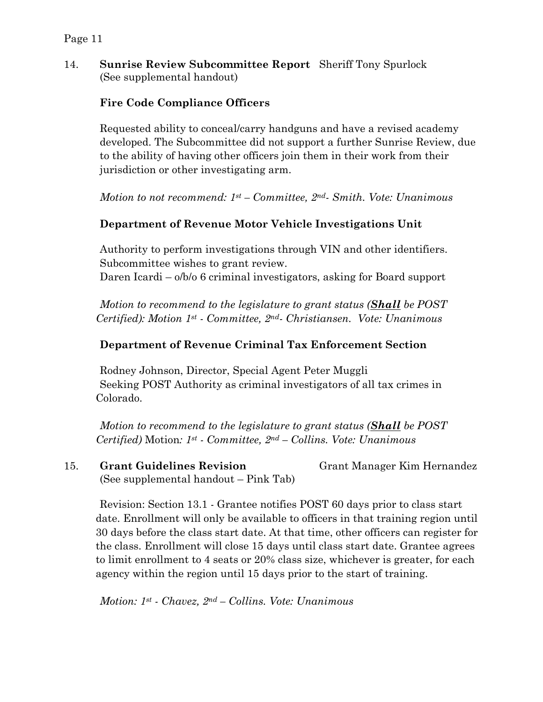#### 14. **Sunrise Review Subcommittee Report** Sheriff Tony Spurlock (See supplemental handout)

## **Fire Code Compliance Officers**

Requested ability to conceal/carry handguns and have a revised academy developed. The Subcommittee did not support a further Sunrise Review, due to the ability of having other officers join them in their work from their jurisdiction or other investigating arm.

*Motion to not recommend: 1st – Committee, 2nd- Smith. Vote: Unanimous* 

### **Department of Revenue Motor Vehicle Investigations Unit**

Authority to perform investigations through VIN and other identifiers. Subcommittee wishes to grant review. Daren Icardi – o/b/o 6 criminal investigators, asking for Board support

*Motion to recommend to the legislature to grant status (Shall be POST Certified): Motion 1st - Committee, 2nd- Christiansen. Vote: Unanimous* 

#### **Department of Revenue Criminal Tax Enforcement Section**

Rodney Johnson, Director, Special Agent Peter Muggli Seeking POST Authority as criminal investigators of all tax crimes in Colorado.

*Motion to recommend to the legislature to grant status (Shall be POST Certified)* Motion*: 1st - Committee, 2nd – Collins. Vote: Unanimous* 

15. **Grant Guidelines Revision** Grant Manager Kim Hernandez (See supplemental handout – Pink Tab)

Revision: Section 13.1 - Grantee notifies POST 60 days prior to class start date. Enrollment will only be available to officers in that training region until 30 days before the class start date. At that time, other officers can register for the class. Enrollment will close 15 days until class start date. Grantee agrees to limit enrollment to 4 seats or 20% class size, whichever is greater, for each agency within the region until 15 days prior to the start of training.

*Motion: 1st - Chavez, 2nd – Collins. Vote: Unanimous*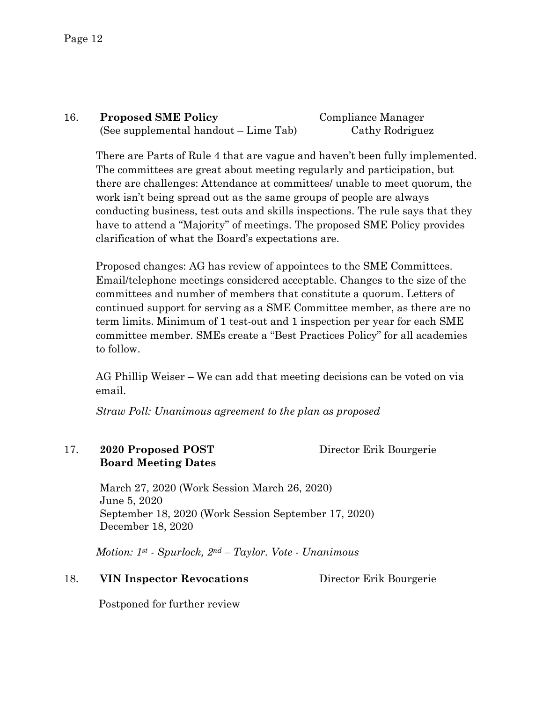## 16. **Proposed SME Policy** Compliance Manager (See supplemental handout – Lime Tab) Cathy Rodriguez

There are Parts of Rule 4 that are vague and haven't been fully implemented. The committees are great about meeting regularly and participation, but there are challenges: Attendance at committees/ unable to meet quorum, the work isn't being spread out as the same groups of people are always conducting business, test outs and skills inspections. The rule says that they have to attend a "Majority" of meetings. The proposed SME Policy provides clarification of what the Board's expectations are.

Proposed changes: AG has review of appointees to the SME Committees. Email/telephone meetings considered acceptable. Changes to the size of the committees and number of members that constitute a quorum. Letters of continued support for serving as a SME Committee member, as there are no term limits. Minimum of 1 test-out and 1 inspection per year for each SME committee member. SMEs create a "Best Practices Policy" for all academies to follow.

AG Phillip Weiser – We can add that meeting decisions can be voted on via email.

*Straw Poll: Unanimous agreement to the plan as proposed* 

#### 17. **2020 Proposed POST** Director Erik Bourgerie **Board Meeting Dates**

March 27, 2020 (Work Session March 26, 2020) June 5, 2020 September 18, 2020 (Work Session September 17, 2020) December 18, 2020

*Motion: 1st - Spurlock, 2nd – Taylor. Vote - Unanimous* 

#### 18. **VIN Inspector Revocations** Director Erik Bourgerie

Postponed for further review